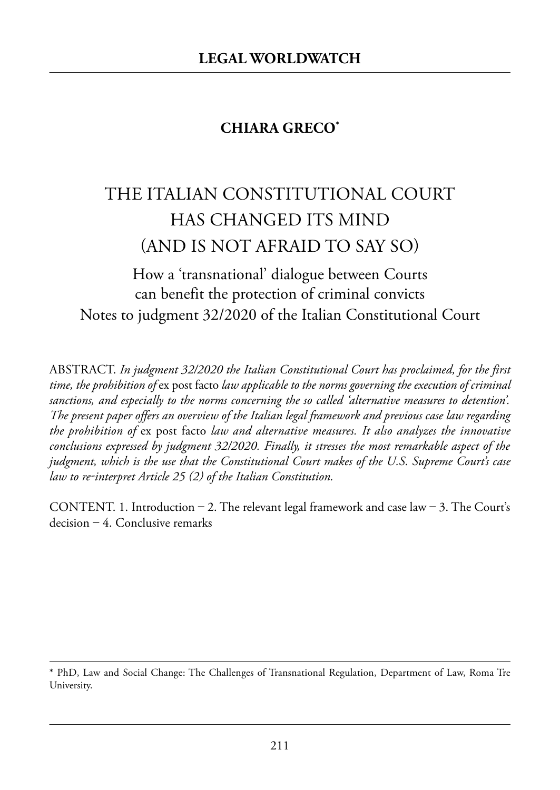## **CHIARA GRECO\***

# the italian Constitutional Court has ChanGed its mind (and is not afraid to saY so)

how a 'transnational' dialogue between Courts can benefit the protection of criminal convicts Notes to judgment 32/2020 of the Italian Constitutional Court

aBstraCt. *In judgment 32/2020 the Italian Constitutional Court has proclaimed, for the first time, the prohibition of* ex post facto *law applicable to the norms governing the execution of criminal sanctions, and especially to the norms concerning the so called 'alternative measures to detention'. The present paper offers an overview of the Italian legal framework and previous case law regarding the prohibition of* ex post facto *law and alternative measures. It also analyzes the innovative conclusions expressed by judgment 32/2020. Finally, it stresses the most remarkable aspect of the judgment, which is the use that the Constitutional Court makes of the U.S. Supreme Court's case law to re-interpret Article 25 (2) of the Italian Constitution.*

CONTENT. 1. Introduction – 2. The relevant legal framework and case law – 3. The Court's decision – 4. Conclusive remarks

<sup>\*</sup> PhD, Law and Social Change: The Challenges of Transnational Regulation, Department of Law, Roma Tre University.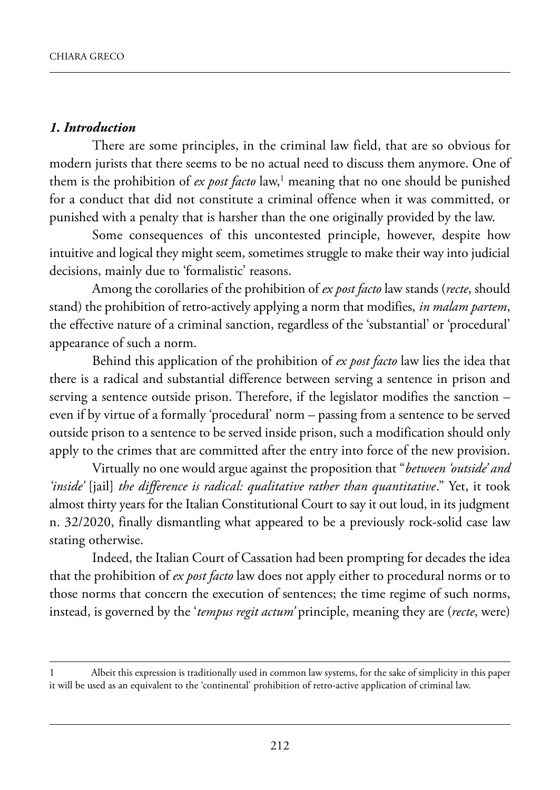#### *1. Introduction*

There are some principles, in the criminal law field, that are so obvious for modern jurists that there seems to be no actual need to discuss them anymore. One of them is the prohibition of *ex post facto* law,<sup>1</sup> meaning that no one should be punished for a conduct that did not constitute a criminal offence when it was committed, or punished with a penalty that is harsher than the one originally provided by the law.

some consequences of this uncontested principle, however, despite how intuitive and logical they might seem, sometimes struggle to make their way into judicial decisions, mainly due to 'formalistic' reasons.

among the corollaries of the prohibition of *ex post facto* law stands (*recte*, should stand) the prohibition of retro-actively applying a norm that modifies, *in malam partem*, the effective nature of a criminal sanction, regardless of the 'substantial' or 'procedural' appearance of such a norm.

Behind this application of the prohibition of *ex post facto* law lies the idea that there is a radical and substantial difference between serving a sentence in prison and serving a sentence outside prison. Therefore, if the legislator modifies the sanction  $$ even if by virtue of a formally 'procedural' norm – passing from a sentence to be served outside prison to a sentence to be served inside prison, such a modification should only apply to the crimes that are committed after the entry into force of the new provision.

Virtually no one would argue against the proposition that "*between 'outside' and 'inside'* [jail] *the difference is radical: qualitative rather than quantitative*." Yet, it took almost thirty years for the Italian Constitutional Court to say it out loud, in its judgment n. 32/2020, finally dismantling what appeared to be a previously rock-solid case law stating otherwise.

Indeed, the Italian Court of Cassation had been prompting for decades the idea that the prohibition of *ex post facto* law does not apply either to procedural norms or to those norms that concern the execution of sentences; the time regime of such norms, instead, is governed by the '*tempus regit actum'* principle, meaning they are (*recte*, were)

<sup>1</sup> albeit this expression is traditionally used in common law systems, for the sake of simplicity in this paper it will be used as an equivalent to the 'continental' prohibition of retro-active application of criminal law.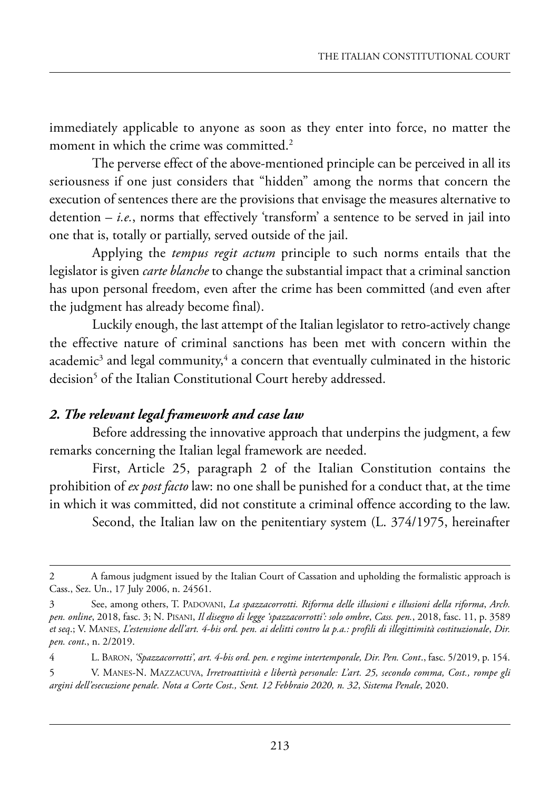immediately applicable to anyone as soon as they enter into force, no matter the moment in which the crime was committed.<sup>2</sup>

The perverse effect of the above-mentioned principle can be perceived in all its seriousness if one just considers that "hidden" among the norms that concern the execution of sentences there are the provisions that envisage the measures alternative to detention – *i.e.*, norms that effectively 'transform' a sentence to be served in jail into one that is, totally or partially, served outside of the jail.

applying the *tempus regit actum* principle to such norms entails that the legislator is given *carte blanche* to change the substantial impact that a criminal sanction has upon personal freedom, even after the crime has been committed (and even after the judgment has already become final).

Luckily enough, the last attempt of the Italian legislator to retro-actively change the effective nature of criminal sanctions has been met with concern within the academic<sup>3</sup> and legal community, $4$  a concern that eventually culminated in the historic decision<sup>5</sup> of the Italian Constitutional Court hereby addressed.

#### *2. The relevant legal framework and case law*

Before addressing the innovative approach that underpins the judgment, a few remarks concerning the Italian legal framework are needed.

First, Article 25, paragraph 2 of the Italian Constitution contains the prohibition of *ex post facto* law: no one shall be punished for a conduct that, at the time in which it was committed, did not constitute a criminal offence according to the law.

Second, the Italian law on the penitentiary system (L. 374/1975, hereinafter

5 V. manes-n. maZZaCuVa, *Irretroattività e libertà personale: L'art. 25, secondo comma, Cost., rompe gli argini dell'esecuzione penale. Nota a Corte Cost., Sent. 12 Febbraio 2020, n. 32*, *Sistema Penale*, 2020.

<sup>2</sup> a famous judgment issued by the Italian Court of Cassation and upholding the formalistic approach is Cass., Sez. Un., 17 July 2006, n. 24561.

<sup>3</sup> see, among others, t. padoVani, *La spazzacorrotti. Riforma delle illusioni e illusioni della riforma*, *Arch. pen. online*, 2018, fasc. 3; n. pisani, *Il disegno di legge 'spazzacorrotti': solo ombre*, *Cass. pen.*, 2018, fasc. 11, p. 3589 *et seq*.; V. manes, *L'estensione dell'art. 4-bis ord. pen. ai delitti contro la p.a.: profili di illegittimità costituzionale*, *Dir. pen. cont*., n. 2/2019.

<sup>4</sup> l. Baron, *'Spazzacorrotti', art. 4-bis ord. pen. e regime intertemporale, Dir. Pen. Cont*., fasc. 5/2019, p. 154.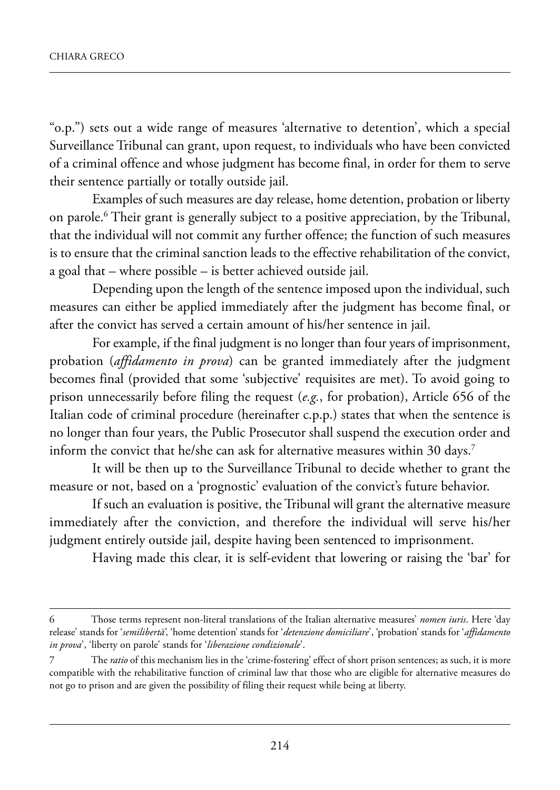"o.p.") sets out a wide range of measures 'alternative to detention', which a special Surveillance Tribunal can grant, upon request, to individuals who have been convicted of a criminal offence and whose judgment has become final, in order for them to serve their sentence partially or totally outside jail.

Examples of such measures are day release, home detention, probation or liberty on parole.<sup>6</sup> Their grant is generally subject to a positive appreciation, by the Tribunal, that the individual will not commit any further offence; the function of such measures is to ensure that the criminal sanction leads to the effective rehabilitation of the convict, a goal that – where possible – is better achieved outside jail.

Depending upon the length of the sentence imposed upon the individual, such measures can either be applied immediately after the judgment has become final, or after the convict has served a certain amount of his/her sentence in jail.

for example, if the final judgment is no longer than four years of imprisonment, probation (*affidamento in prova*) can be granted immediately after the judgment becomes final (provided that some 'subjective' requisites are met). To avoid going to prison unnecessarily before filing the request (*e.g.*, for probation), Article 656 of the Italian code of criminal procedure (hereinafter c.p.p.) states that when the sentence is no longer than four years, the Public Prosecutor shall suspend the execution order and inform the convict that he/she can ask for alternative measures within 30 days.<sup>7</sup>

It will be then up to the Surveillance Tribunal to decide whether to grant the measure or not, based on a 'prognostic' evaluation of the convict's future behavior.

If such an evaluation is positive, the Tribunal will grant the alternative measure immediately after the conviction, and therefore the individual will serve his/her judgment entirely outside jail, despite having been sentenced to imprisonment.

having made this clear, it is self-evident that lowering or raising the 'bar' for

<sup>6</sup> those terms represent non-literal translations of the italian alternative measures' *nomen iuris*. here 'day release' stands for '*semilibertà'*, 'home detention' stands for '*detenzione domiciliare*', 'probation' stands for '*affidamento in prova*', 'liberty on parole' stands for '*liberazione condizionale*'.

<sup>7</sup> the *ratio* of this mechanism lies in the 'crime-fostering' effect of short prison sentences; as such, it is more compatible with the rehabilitative function of criminal law that those who are eligible for alternative measures do not go to prison and are given the possibility of filing their request while being at liberty.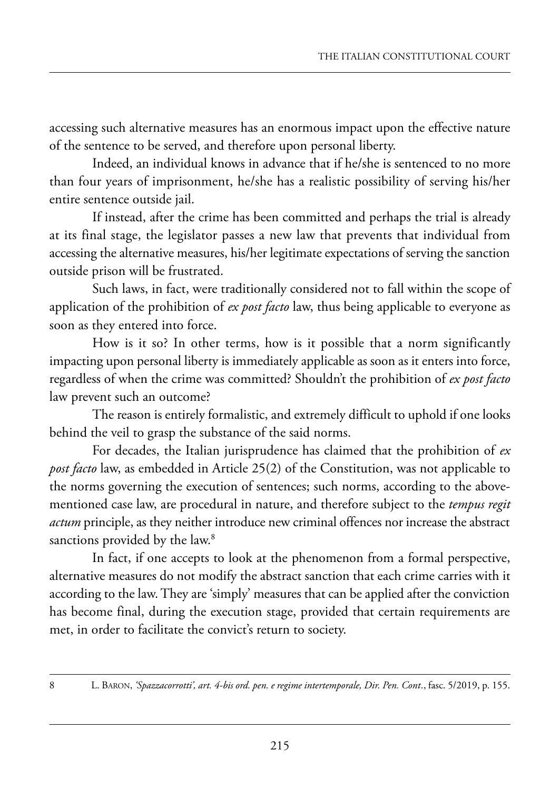accessing such alternative measures has an enormous impact upon the effective nature of the sentence to be served, and therefore upon personal liberty.

Indeed, an individual knows in advance that if he/she is sentenced to no more than four years of imprisonment, he/she has a realistic possibility of serving his/her entire sentence outside jail.

If instead, after the crime has been committed and perhaps the trial is already at its final stage, the legislator passes a new law that prevents that individual from accessing the alternative measures, his/her legitimate expectations of serving the sanction outside prison will be frustrated.

Such laws, in fact, were traditionally considered not to fall within the scope of application of the prohibition of *ex post facto* law, thus being applicable to everyone as soon as they entered into force.

How is it so? In other terms, how is it possible that a norm significantly impacting upon personal liberty is immediately applicable as soon as it enters into force, regardless of when the crime was committed? shouldn't the prohibition of *ex post facto* law prevent such an outcome?

The reason is entirely formalistic, and extremely difficult to uphold if one looks behind the veil to grasp the substance of the said norms.

for decades, the italian jurisprudence has claimed that the prohibition of *ex post facto* law, as embedded in Article 25(2) of the Constitution, was not applicable to the norms governing the execution of sentences; such norms, according to the abovementioned case law, are procedural in nature, and therefore subject to the *tempus regit actum* principle, as they neither introduce new criminal offences nor increase the abstract sanctions provided by the law.<sup>8</sup>

In fact, if one accepts to look at the phenomenon from a formal perspective, alternative measures do not modify the abstract sanction that each crime carries with it according to the law. They are 'simply' measures that can be applied after the conviction has become final, during the execution stage, provided that certain requirements are met, in order to facilitate the convict's return to society.

8 l. Baron, *'Spazzacorrotti', art. 4-bis ord. pen. e regime intertemporale, Dir. Pen. Cont*., fasc. 5/2019, p. 155.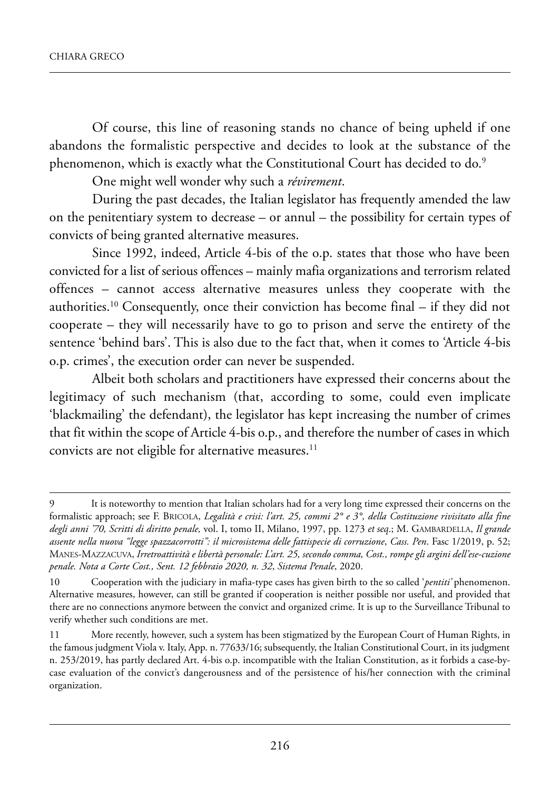of course, this line of reasoning stands no chance of being upheld if one abandons the formalistic perspective and decides to look at the substance of the phenomenon, which is exactly what the Constitutional Court has decided to do.<sup>9</sup>

one might well wonder why such a *révirement*.

During the past decades, the Italian legislator has frequently amended the law on the penitentiary system to decrease – or annul – the possibility for certain types of convicts of being granted alternative measures.

Since 1992, indeed, Article 4-bis of the o.p. states that those who have been convicted for a list of serious offences – mainly mafia organizations and terrorism related offences – cannot access alternative measures unless they cooperate with the authorities.<sup>10</sup> Consequently, once their conviction has become final  $-$  if they did not cooperate – they will necessarily have to go to prison and serve the entirety of the sentence 'behind bars'. This is also due to the fact that, when it comes to 'Article 4-bis o.p. crimes', the execution order can never be suspended.

albeit both scholars and practitioners have expressed their concerns about the legitimacy of such mechanism (that, according to some, could even implicate 'blackmailing' the defendant), the legislator has kept increasing the number of crimes that fit within the scope of Article 4-bis o.p., and therefore the number of cases in which convicts are not eligible for alternative measures.<sup>11</sup>

It is noteworthy to mention that Italian scholars had for a very long time expressed their concerns on the formalistic approach; see f. BriCola, *Legalità e crisi: l'art. 25, commi 2° e 3°, della Costituzione rivisitato alla fine degli anni '70, Scritti di diritto penale,* vol. i, tomo ii, milano, 1997, pp. 1273 *et seq*.; m. GamBardella, *Il grande assente nella nuova "legge spazzacorrotti": il microsistema delle fattispecie di corruzione*, *Cass. Pen*. fasc 1/2019, p. 52; manes-maZZaCuVa, *Irretroattività e libertà personale: L'art. 25, secondo comma, Cost., rompe gli argini dell'ese-cuzione penale. Nota a Corte Cost., Sent. 12 febbraio 2020, n. 32*, *Sistema Penale*, 2020.

<sup>10</sup> Cooperation with the judiciary in mafia-type cases has given birth to the so called '*pentiti'* phenomenon. alternative measures, however, can still be granted if cooperation is neither possible nor useful, and provided that there are no connections anymore between the convict and organized crime. It is up to the Surveillance Tribunal to verify whether such conditions are met.

<sup>11</sup> More recently, however, such a system has been stigmatized by the European Court of Human Rights, in the famous judgment Viola v. italy, app. n. 77633/16; subsequently, the italian Constitutional Court, in its judgment n. 253/2019, has partly declared art. 4-bis o.p. incompatible with the italian Constitution, as it forbids a case-bycase evaluation of the convict's dangerousness and of the persistence of his/her connection with the criminal organization.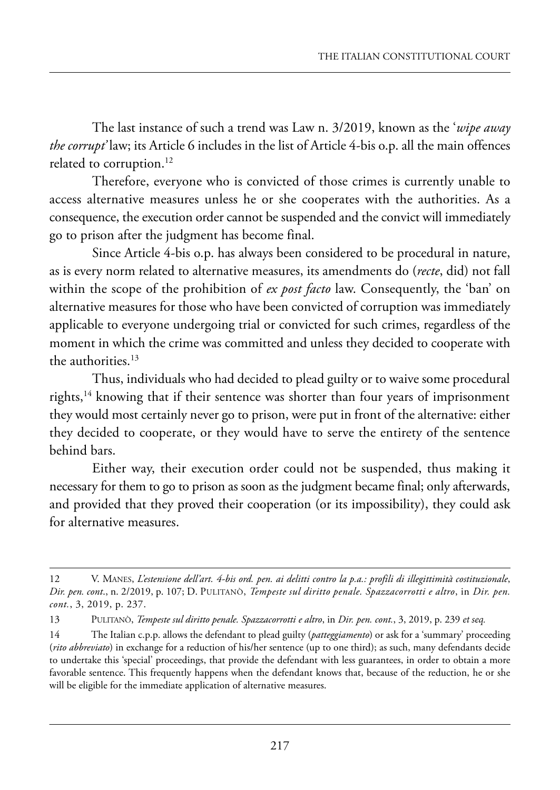the last instance of such a trend was law n. 3/2019, known as the '*wipe away the corrupt'* law; its Article 6 includes in the list of Article 4-bis o.p. all the main offences related to corruption.<sup>12</sup>

Therefore, everyone who is convicted of those crimes is currently unable to access alternative measures unless he or she cooperates with the authorities. As a consequence, the execution order cannot be suspended and the convict will immediately go to prison after the judgment has become final.

Since Article 4-bis o.p. has always been considered to be procedural in nature, as is every norm related to alternative measures, its amendments do (*recte*, did) not fall within the scope of the prohibition of *ex post facto* law. Consequently, the 'ban' on alternative measures for those who have been convicted of corruption was immediately applicable to everyone undergoing trial or convicted for such crimes, regardless of the moment in which the crime was committed and unless they decided to cooperate with the authorities.<sup>13</sup>

Thus, individuals who had decided to plead guilty or to waive some procedural rights,<sup>14</sup> knowing that if their sentence was shorter than four years of imprisonment they would most certainly never go to prison, were put in front of the alternative: either they decided to cooperate, or they would have to serve the entirety of the sentence behind bars.

Either way, their execution order could not be suspended, thus making it necessary for them to go to prison as soon as the judgment became final; only afterwards, and provided that they proved their cooperation (or its impossibility), they could ask for alternative measures.

<sup>12</sup> V. manes, *L'estensione dell'art. 4-bis ord. pen. ai delitti contro la p.a.: profili di illegittimità costituzionale*, *Dir. pen. cont*., n. 2/2019, p. 107; d. pulitanò, *Tempeste sul diritto penale. Spazzacorrotti e altro*, in *Dir. pen. cont.*, 3, 2019, p. 237.

<sup>13</sup> pulitanò, *Tempeste sul diritto penale. Spazzacorrotti e altro*, in *Dir. pen. cont.*, 3, 2019, p. 239 *et seq.*

<sup>14</sup> the italian c.p.p. allows the defendant to plead guilty (*patteggiamento*) or ask for a 'summary' proceeding (*rito abbreviato*) in exchange for a reduction of his/her sentence (up to one third); as such, many defendants decide to undertake this 'special' proceedings, that provide the defendant with less guarantees, in order to obtain a more favorable sentence. this frequently happens when the defendant knows that, because of the reduction, he or she will be eligible for the immediate application of alternative measures.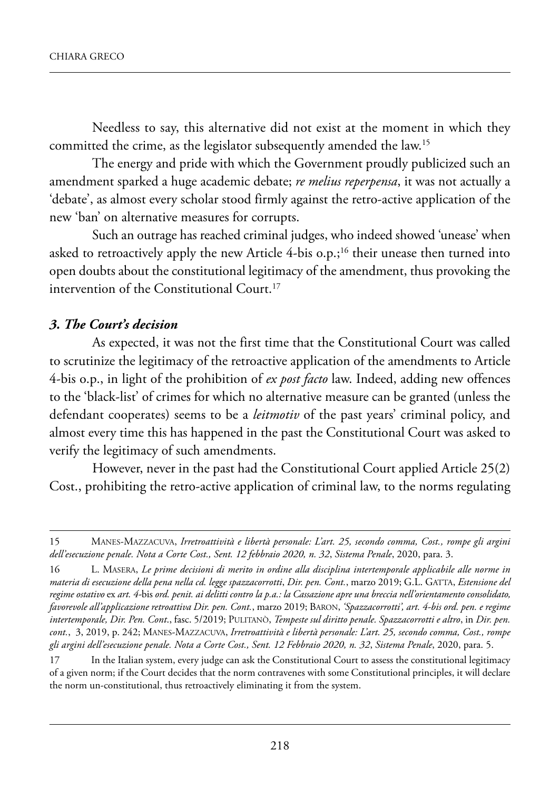Needless to say, this alternative did not exist at the moment in which they committed the crime, as the legislator subsequently amended the law.15

The energy and pride with which the Government proudly publicized such an amendment sparked a huge academic debate; *re melius reperpensa*, it was not actually a 'debate', as almost every scholar stood firmly against the retro-active application of the new 'ban' on alternative measures for corrupts.

such an outrage has reached criminal judges, who indeed showed 'unease' when asked to retroactively apply the new Article  $4$ -bis o.p.;<sup>16</sup> their unease then turned into open doubts about the constitutional legitimacy of the amendment, thus provoking the intervention of the Constitutional Court.17

#### *3. The Court's decision*

As expected, it was not the first time that the Constitutional Court was called to scrutinize the legitimacy of the retroactive application of the amendments to Article 4-bis o.p., in light of the prohibition of *ex post facto* law. Indeed, adding new offences to the 'black-list' of crimes for which no alternative measure can be granted (unless the defendant cooperates) seems to be a *leitmotiv* of the past years' criminal policy, and almost every time this has happened in the past the Constitutional Court was asked to verify the legitimacy of such amendments.

However, never in the past had the Constitutional Court applied Article 25(2) Cost., prohibiting the retro-active application of criminal law, to the norms regulating

<sup>15</sup> manes-maZZaCuVa, *Irretroattività e libertà personale: L'art. 25, secondo comma, Cost., rompe gli argini dell'esecuzione penale. Nota a Corte Cost., Sent. 12 febbraio 2020, n. 32*, *Sistema Penale*, 2020, para. 3.

<sup>16</sup> l. masera, *Le prime decisioni di merito in ordine alla disciplina intertemporale applicabile alle norme in materia di esecuzione della pena nella cd. legge spazzacorrotti*, *Dir. pen. Cont.*, marzo 2019; G.l. Gatta, *Estensione del regime ostativo* ex *art. 4-*bis *ord. penit. ai delitti contro la p.a.: la Cassazione apre una breccia nell'orientamento consolidato, favorevole all'applicazione retroattiva Dir. pen. Cont.*, marzo 2019; Baron, *'Spazzacorrotti', art. 4-bis ord. pen. e regime intertemporale, Dir. Pen. Cont*., fasc. 5/2019; pulitanò, *Tempeste sul diritto penale. Spazzacorrotti e altro*, in *Dir. pen. cont.*, 3, 2019, p. 242; manes-maZZaCuVa, *Irretroattività e libertà personale: L'art. 25, secondo comma, Cost., rompe gli argini dell'esecuzione penale. Nota a Corte Cost., Sent. 12 Febbraio 2020, n. 32*, *Sistema Penale*, 2020, para. 5.

<sup>17</sup> in the italian system, every judge can ask the Constitutional Court to assess the constitutional legitimacy of a given norm; if the Court decides that the norm contravenes with some Constitutional principles, it will declare the norm un-constitutional, thus retroactively eliminating it from the system.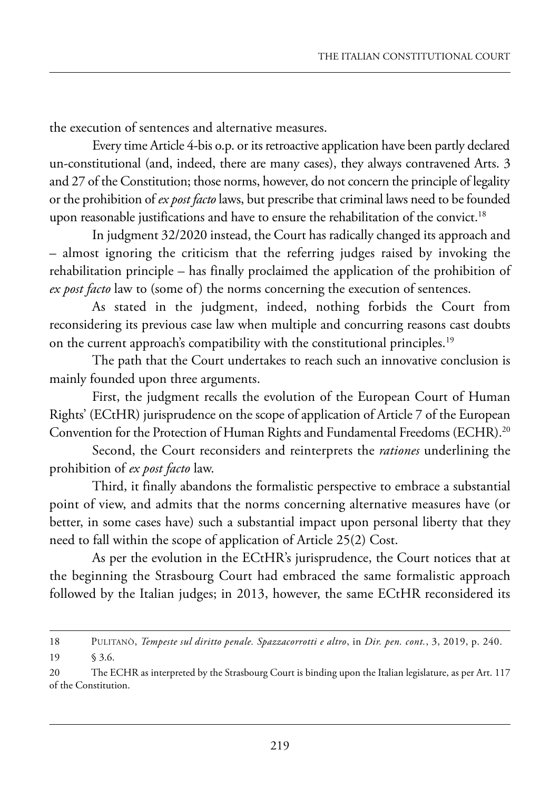the execution of sentences and alternative measures.

Every time Article 4-bis o.p. or its retroactive application have been partly declared un-constitutional (and, indeed, there are many cases), they always contravened arts. 3 and 27 of the Constitution; those norms, however, do not concern the principle of legality or the prohibition of *ex post facto* laws, but prescribe that criminal laws need to be founded upon reasonable justifications and have to ensure the rehabilitation of the convict.<sup>18</sup>

In judgment 32/2020 instead, the Court has radically changed its approach and – almost ignoring the criticism that the referring judges raised by invoking the rehabilitation principle – has finally proclaimed the application of the prohibition of *ex post facto* law to (some of) the norms concerning the execution of sentences.

As stated in the judgment, indeed, nothing forbids the Court from reconsidering its previous case law when multiple and concurring reasons cast doubts on the current approach's compatibility with the constitutional principles.<sup>19</sup>

The path that the Court undertakes to reach such an innovative conclusion is mainly founded upon three arguments.

First, the judgment recalls the evolution of the European Court of Human Rights' (ECtHR) jurisprudence on the scope of application of Article 7 of the European Convention for the Protection of Human Rights and Fundamental Freedoms (ECHR).<sup>20</sup>

second, the Court reconsiders and reinterprets the *rationes* underlining the prohibition of *ex post facto* law.

Third, it finally abandons the formalistic perspective to embrace a substantial point of view, and admits that the norms concerning alternative measures have (or better, in some cases have) such a substantial impact upon personal liberty that they need to fall within the scope of application of Article 25(2) Cost.

As per the evolution in the ECtHR's jurisprudence, the Court notices that at the beginning the strasbourg Court had embraced the same formalistic approach followed by the Italian judges; in 2013, however, the same ECtHR reconsidered its

<sup>18</sup> pulitanò, *Tempeste sul diritto penale. Spazzacorrotti e altro*, in *Dir. pen. cont.*, 3, 2019, p. 240. 19 § 3.6.

<sup>20</sup> The ECHR as interpreted by the Strasbourg Court is binding upon the Italian legislature, as per Art. 117 of the Constitution.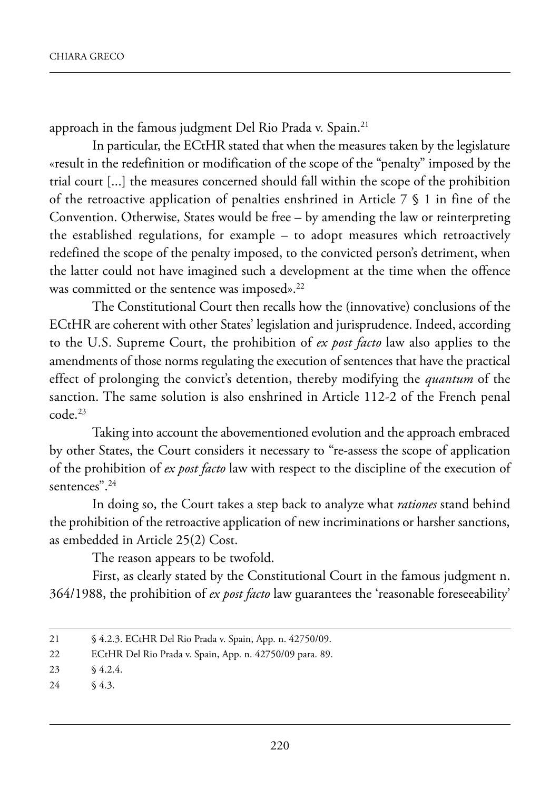approach in the famous judgment Del Rio Prada v. Spain.<sup>21</sup>

In particular, the ECtHR stated that when the measures taken by the legislature «result in the redefinition or modification of the scope of the "penalty" imposed by the trial court [...] the measures concerned should fall within the scope of the prohibition of the retroactive application of penalties enshrined in Article  $7 \text{ } 9 \text{ } 1$  in fine of the Convention. Otherwise, States would be free  $-$  by amending the law or reinterpreting the established regulations, for example – to adopt measures which retroactively redefined the scope of the penalty imposed, to the convicted person's detriment, when the latter could not have imagined such a development at the time when the offence was committed or the sentence was imposed».<sup>22</sup>

The Constitutional Court then recalls how the (innovative) conclusions of the ECtHR are coherent with other States' legislation and jurisprudence. Indeed, according to the U.S. Supreme Court, the prohibition of *ex post facto* law also applies to the amendments of those norms regulating the execution of sentences that have the practical effect of prolonging the convict's detention, thereby modifying the *quantum* of the sanction. The same solution is also enshrined in Article 112-2 of the French penal code.23

Taking into account the abovementioned evolution and the approach embraced by other states, the Court considers it necessary to "re-assess the scope of application of the prohibition of *ex post facto* law with respect to the discipline of the execution of sentences".24

in doing so, the Court takes a step back to analyze what *rationes* stand behind the prohibition of the retroactive application of new incriminations or harsher sanctions, as embedded in Article 25(2) Cost.

The reason appears to be twofold.

first, as clearly stated by the Constitutional Court in the famous judgment n. 364/1988, the prohibition of *ex post facto* law guarantees the 'reasonable foreseeability'

<sup>21 § 4.2.3.</sup> eCthr del rio prada v. spain, app. n. 42750/09.

<sup>22</sup> ECtHR Del Rio Prada v. Spain, App. n. 42750/09 para. 89.

<sup>23 § 4.2.4.</sup>

<sup>24</sup>  $\sqrt{4.3}$ .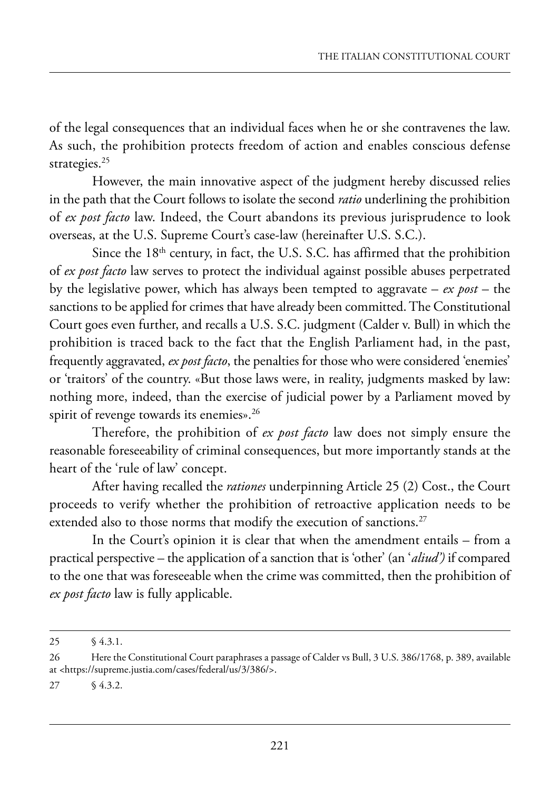of the legal consequences that an individual faces when he or she contravenes the law. As such, the prohibition protects freedom of action and enables conscious defense strategies.<sup>25</sup>

however, the main innovative aspect of the judgment hereby discussed relies in the path that the Court follows to isolate the second *ratio* underlining the prohibition of *ex post facto* law. indeed, the Court abandons its previous jurisprudence to look overseas, at the U.S. Supreme Court's case-law (hereinafter U.S. S.C.).

Since the  $18<sup>th</sup>$  century, in fact, the U.S. S.C. has affirmed that the prohibition of *ex post facto* law serves to protect the individual against possible abuses perpetrated by the legislative power, which has always been tempted to aggravate – *ex post* – the sanctions to be applied for crimes that have already been committed. The Constitutional Court goes even further, and recalls a U.S. S.C. judgment (Calder v. Bull) in which the prohibition is traced back to the fact that the English Parliament had, in the past, frequently aggravated, *ex post facto*, the penalties for those who were considered 'enemies' or 'traitors' of the country. «But those laws were, in reality, judgments masked by law: nothing more, indeed, than the exercise of judicial power by a Parliament moved by spirit of revenge towards its enemies».<sup>26</sup>

Therefore, the prohibition of *ex post facto* law does not simply ensure the reasonable foreseeability of criminal consequences, but more importantly stands at the heart of the 'rule of law' concept.

after having recalled the *rationes* underpinning article 25 (2) Cost., the Court proceeds to verify whether the prohibition of retroactive application needs to be extended also to those norms that modify the execution of sanctions.<sup>27</sup>

In the Court's opinion it is clear that when the amendment entails – from a practical perspective – the application of a sanction that is 'other' (an '*aliud')* if compared to the one that was foreseeable when the crime was committed, then the prohibition of *ex post facto* law is fully applicable.

<sup>25 § 4.3.1.</sup>

<sup>26</sup> Here the Constitutional Court paraphrases a passage of Calder vs Bull, 3 U.S. 386/1768, p. 389, available at <https://supreme.justia.com/cases/federal/us/3/386/>.

<sup>27 § 4.3.2.</sup>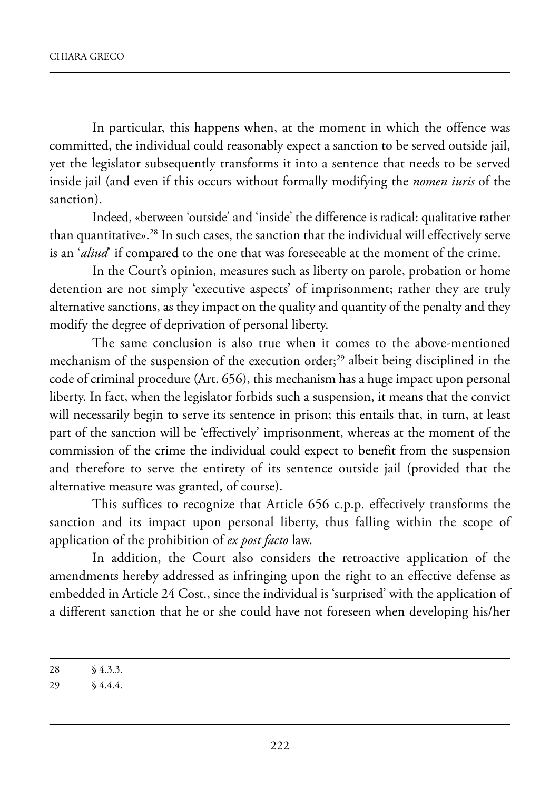In particular, this happens when, at the moment in which the offence was committed, the individual could reasonably expect a sanction to be served outside jail, yet the legislator subsequently transforms it into a sentence that needs to be served inside jail (and even if this occurs without formally modifying the *nomen iuris* of the sanction).

indeed, «between 'outside' and 'inside' the difference is radical: qualitative rather than quantitative».<sup>28</sup> In such cases, the sanction that the individual will effectively serve is an '*aliud*' if compared to the one that was foreseeable at the moment of the crime.

In the Court's opinion, measures such as liberty on parole, probation or home detention are not simply 'executive aspects' of imprisonment; rather they are truly alternative sanctions, as they impact on the quality and quantity of the penalty and they modify the degree of deprivation of personal liberty.

The same conclusion is also true when it comes to the above-mentioned mechanism of the suspension of the execution order;<sup>29</sup> albeit being disciplined in the code of criminal procedure (Art. 656), this mechanism has a huge impact upon personal liberty. In fact, when the legislator forbids such a suspension, it means that the convict will necessarily begin to serve its sentence in prison; this entails that, in turn, at least part of the sanction will be 'effectively' imprisonment, whereas at the moment of the commission of the crime the individual could expect to benefit from the suspension and therefore to serve the entirety of its sentence outside jail (provided that the alternative measure was granted, of course).

This suffices to recognize that Article 656 c.p.p. effectively transforms the sanction and its impact upon personal liberty, thus falling within the scope of application of the prohibition of *ex post facto* law.

In addition, the Court also considers the retroactive application of the amendments hereby addressed as infringing upon the right to an effective defense as embedded in Article 24 Cost., since the individual is 'surprised' with the application of a different sanction that he or she could have not foreseen when developing his/her

<sup>28 § 4.3.3.</sup>

<sup>29 § 4.4.4.</sup>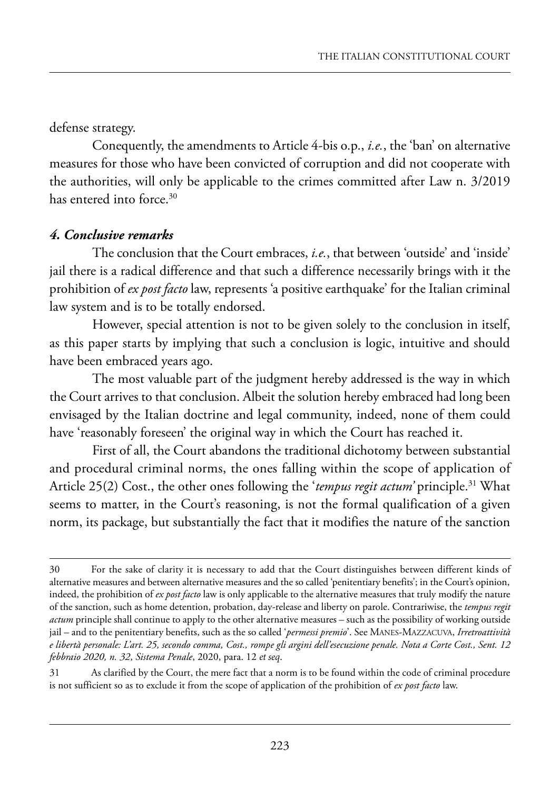defense strategy.

Conequently, the amendments to Article 4-bis o.p., *i.e.*, the 'ban' on alternative measures for those who have been convicted of corruption and did not cooperate with the authorities, will only be applicable to the crimes committed after law n. 3/2019 has entered into force.<sup>30</sup>

### *4. Conclusive remarks*

the conclusion that the Court embraces, *i.e.*, that between 'outside' and 'inside' jail there is a radical difference and that such a difference necessarily brings with it the prohibition of *ex post facto* law, represents 'a positive earthquake' for the Italian criminal law system and is to be totally endorsed.

however, special attention is not to be given solely to the conclusion in itself, as this paper starts by implying that such a conclusion is logic, intuitive and should have been embraced years ago.

The most valuable part of the judgment hereby addressed is the way in which the Court arrives to that conclusion. albeit the solution hereby embraced had long been envisaged by the Italian doctrine and legal community, indeed, none of them could have 'reasonably foreseen' the original way in which the Court has reached it.

first of all, the Court abandons the traditional dichotomy between substantial and procedural criminal norms, the ones falling within the scope of application of Article 25(2) Cost., the other ones following the '*tempus regit actum*' principle.<sup>31</sup> What seems to matter, in the Court's reasoning, is not the formal qualification of a given norm, its package, but substantially the fact that it modifies the nature of the sanction

<sup>30</sup> for the sake of clarity it is necessary to add that the Court distinguishes between different kinds of alternative measures and between alternative measures and the so called 'penitentiary benefits'; in the Court's opinion, indeed, the prohibition of *ex post facto* law is only applicable to the alternative measures that truly modify the nature of the sanction, such as home detention, probation, day-release and liberty on parole. Contrariwise, the *tempus regit actum* principle shall continue to apply to the other alternative measures – such as the possibility of working outside jail – and to the penitentiary benefits, such as the so called '*permessi premio*'. See MANES-MAZZACUVA, Irretroattività *e libertà personale: L'art. 25, secondo comma, Cost., rompe gli argini dell'esecuzione penale. Nota a Corte Cost., Sent. 12 febbraio 2020, n. 32*, *Sistema Penale*, 2020, para. 12 *et seq*.

<sup>31</sup> as clarified by the Court, the mere fact that a norm is to be found within the code of criminal procedure is not sufficient so as to exclude it from the scope of application of the prohibition of *ex post facto* law.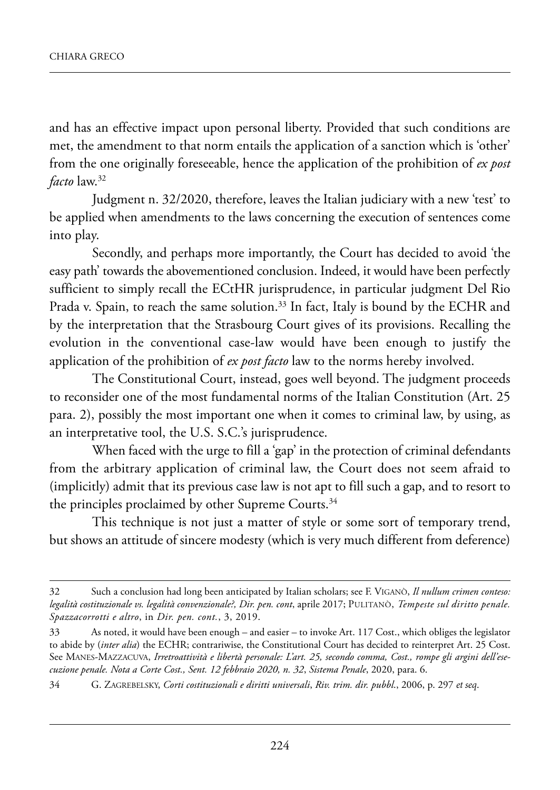and has an effective impact upon personal liberty. Provided that such conditions are met, the amendment to that norm entails the application of a sanction which is 'other' from the one originally foreseeable, hence the application of the prohibition of *ex post facto* law.32

Judgment n. 32/2020, therefore, leaves the Italian judiciary with a new 'test' to be applied when amendments to the laws concerning the execution of sentences come into play.

secondly, and perhaps more importantly, the Court has decided to avoid 'the easy path' towards the abovementioned conclusion. indeed, it would have been perfectly sufficient to simply recall the ECtHR jurisprudence, in particular judgment Del Rio Prada v. Spain, to reach the same solution.<sup>33</sup> In fact, Italy is bound by the ECHR and by the interpretation that the Strasbourg Court gives of its provisions. Recalling the evolution in the conventional case-law would have been enough to justify the application of the prohibition of *ex post facto* law to the norms hereby involved.

The Constitutional Court, instead, goes well beyond. The judgment proceeds to reconsider one of the most fundamental norms of the Italian Constitution (Art. 25 para. 2), possibly the most important one when it comes to criminal law, by using, as an interpretative tool, the U.S. S.C.'s jurisprudence.

when faced with the urge to fill a 'gap' in the protection of criminal defendants from the arbitrary application of criminal law, the Court does not seem afraid to (implicitly) admit that its previous case law is not apt to fill such a gap, and to resort to the principles proclaimed by other Supreme Courts.<sup>34</sup>

This technique is not just a matter of style or some sort of temporary trend, but shows an attitude of sincere modesty (which is very much different from deference)

<sup>32</sup> such a conclusion had long been anticipated by italian scholars; see f. ViGanò, *Il nullum crimen conteso: legalità costituzionale vs. legalità convenzionale?, Dir. pen. cont*, aprile 2017; pulitanò, *Tempeste sul diritto penale. Spazzacorrotti e altro*, in *Dir. pen. cont.*, 3, 2019.

<sup>33</sup> as noted, it would have been enough – and easier – to invoke art. 117 Cost., which obliges the legislator to abide by (*inter alia*) the ECHR; contrariwise, the Constitutional Court has decided to reinterpret Art. 25 Cost. See MANES-MAZZACUVA, Irretroattività e libertà personale: L'art. 25, secondo comma, Cost., rompe gli argini dell'ese*cuzione penale. Nota a Corte Cost., Sent. 12 febbraio 2020, n. 32*, *Sistema Penale*, 2020, para. 6.

<sup>34</sup> G. ZaGreBelskY, *Corti costituzionali e diritti universali*, *Riv. trim. dir. pubbl*., 2006, p. 297 *et seq*.